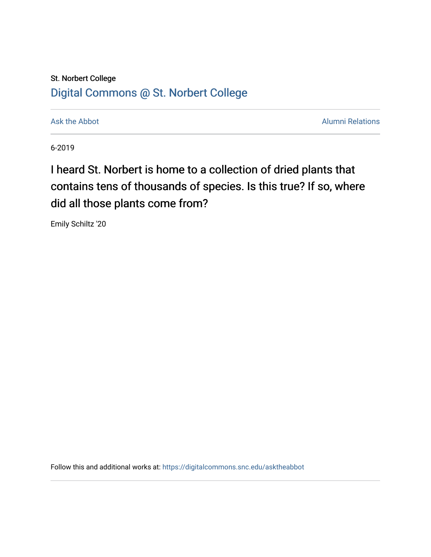## St. Norbert College [Digital Commons @ St. Norbert College](https://digitalcommons.snc.edu/)

[Ask the Abbot](https://digitalcommons.snc.edu/asktheabbot) **Alumni Relations** Ask the Abbot [Alumni Relations](https://digitalcommons.snc.edu/alumni) and Alumni Relations and Alumni Relations and Alumni Relations and Alumni Relations and Alumni Relations and Alumni Relations and Alumni Relations and Alumni

6-2019

## I heard St. Norbert is home to a collection of dried plants that contains tens of thousands of species. Is this true? If so, where did all those plants come from?

Emily Schiltz '20

Follow this and additional works at: [https://digitalcommons.snc.edu/asktheabbot](https://digitalcommons.snc.edu/asktheabbot?utm_source=digitalcommons.snc.edu%2Fasktheabbot%2F164&utm_medium=PDF&utm_campaign=PDFCoverPages)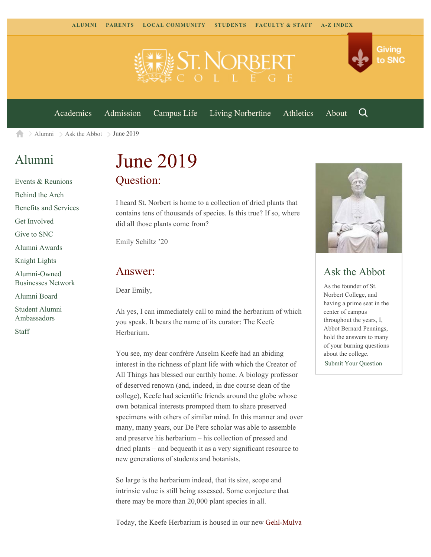

[Academics](https://www.snc.edu/academics) [Admission](https://www.snc.edu/admission) [Campus Life](https://www.snc.edu/campuslife) [Living Norbertine](https://www.snc.edu/livingnorbertine) [Athletics](https://www.snc.edu/athletics) [About](https://www.snc.edu/about)

Q

Giving

to SNC

 $\geq$  [Alumni](https://www.snc.edu/alumni/)  $\geq$  [Ask the Abbot](https://www.snc.edu/alumni/abbot/)  $\geq$  June 2019 A

### [Alumni](https://www.snc.edu/alumni/index.html)

[Events & Reunions](https://www.snc.edu/alumni/event/index.html) [Behind the Arch](https://www.snc.edu/alumni/event/behindthearch/) [Benefits and Services](https://www.snc.edu/alumni/benefits.html) [Get Involved](https://www.snc.edu/alumni/getinvolved.html) [Give to SNC](http://giving.snc.edu/) [Alumni Awards](https://www.snc.edu/alumni/awards/index.html) [Knight Lights](https://www.snc.edu/alumni/knightlights/index.html) [Alumni-Owned](https://www.snc.edu/alumni/directory/index.html) [Businesses Network](https://www.snc.edu/alumni/directory/index.html) [Alumni Board](https://www.snc.edu/alumni/alumniboard.html) [Student Alumni](https://www.snc.edu/alumni/saa.html) [Ambassadors](https://www.snc.edu/alumni/saa.html)

[Staff](https://www.snc.edu/alumni/contactus.html)

# June 2019 Question:

I heard St. Norbert is home to a collection of dried plants that contains tens of thousands of species. Is this true? If so, where did all those plants come from?

Emily Schiltz '20

#### Answer:

Dear Emily,

Ah yes, I can immediately call to mind the herbarium of which you speak. It bears the name of its curator: The Keefe Herbarium.

You see, my dear confrère Anselm Keefe had an abiding interest in the richness of plant life with which the Creator of All Things has blessed our earthly home. A biology professor of deserved renown (and, indeed, in due course dean of the college), Keefe had scientific friends around the globe whose own botanical interests prompted them to share preserved specimens with others of similar mind. In this manner and over many, many years, our De Pere scholar was able to assemble and preserve his herbarium – his collection of pressed and dried plants – and bequeath it as a very significant resource to new generations of students and botanists.

So large is the herbarium indeed, that its size, scope and intrinsic value is still being assessed. Some conjecture that there may be more than 20,000 plant species in all.



### Ask the Abbot

As the founder of St. Norbert College, and having a prime seat in the center of campus throughout the years, I, Abbot Bernard Pennings, hold the answers to many of your burning questions about the college.

[Submit Your Question](https://www.snc.edu/alumni/abbot/index.html)

Today, the Keefe Herbarium is housed in our new [Gehl-Mulva](https://www.snc.edu/naturalsciences/gms.html)